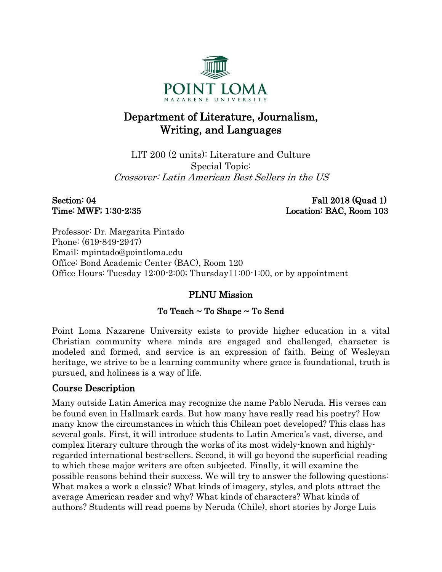

# Department of Literature, Journalism, Writing, and Languages

LIT 200 (2 units): Literature and Culture Special Topic: Crossover: Latin American Best Sellers in the US

Section: 04 Fall 2018 (Quad 1) Time: MWF; 1:30-2:35 Location: BAC, Room 103

Professor: Dr. Margarita Pintado Phone: (619-849-2947) Email: mpintado@pointloma.edu Office: Bond Academic Center (BAC), Room 120 Office Hours: Tuesday 12:00-2:00; Thursday11:00-1:00, or by appointment

# PLNU Mission

#### To Teach ~ To Shape ~ To Send

Point Loma Nazarene University exists to provide higher education in a vital Christian community where minds are engaged and challenged, character is modeled and formed, and service is an expression of faith. Being of Wesleyan heritage, we strive to be a learning community where grace is foundational, truth is pursued, and holiness is a way of life.

# Course Description

Many outside Latin America may recognize the name Pablo Neruda. His verses can be found even in Hallmark cards. But how many have really read his poetry? How many know the circumstances in which this Chilean poet developed? This class has several goals. First, it will introduce students to Latin America's vast, diverse, and complex literary culture through the works of its most widely-known and highlyregarded international best-sellers. Second, it will go beyond the superficial reading to which these major writers are often subjected. Finally, it will examine the possible reasons behind their success. We will try to answer the following questions: What makes a work a classic? What kinds of imagery, styles, and plots attract the average American reader and why? What kinds of characters? What kinds of authors? Students will read poems by Neruda (Chile), short stories by Jorge Luis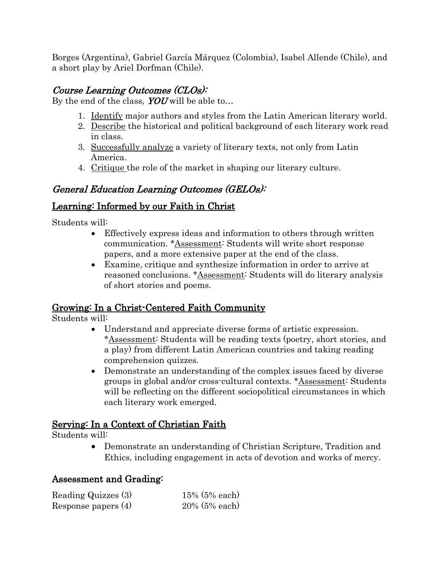Borges (Argentina), Gabriel García Márquez (Colombia), Isabel Allende (Chile), and a short play by Ariel Dorfman (Chile).

# Course Learning Outcomes (CLOs):

By the end of the class,  $YOU$  will be able to...

- 1. Identify major authors and styles from the Latin American literary world.
- 2. Describe the historical and political background of each literary work read in class.
- 3. Successfully analyze a variety of literary texts, not only from Latin America.
- 4. Critique the role of the market in shaping our literary culture.

# General Education Learning Outcomes (GELOs):

# Learning: Informed by our Faith in Christ

Students will:

- Effectively express ideas and information to others through written communication. \*Assessment: Students will write short response papers, and a more extensive paper at the end of the class.
- Examine, critique and synthesize information in order to arrive at reasoned conclusions. \*Assessment: Students will do literary analysis of short stories and poems.

# Growing: In a Christ-Centered Faith Community

Students will:

- Understand and appreciate diverse forms of artistic expression. \*Assessment: Students will be reading texts (poetry, short stories, and a play) from different Latin American countries and taking reading comprehension quizzes.
- Demonstrate an understanding of the complex issues faced by diverse groups in global and/or cross-cultural contexts. \*Assessment: Students will be reflecting on the different sociopolitical circumstances in which each literary work emerged.

# Serving: In a Context of Christian Faith

Students will:

• Demonstrate an understanding of Christian Scripture, Tradition and Ethics, including engagement in acts of devotion and works of mercy.

# Assessment and Grading:

| Reading Quizzes (3)   | $15\%$ (5% each) |
|-----------------------|------------------|
| Response papers $(4)$ | $20\%$ (5% each) |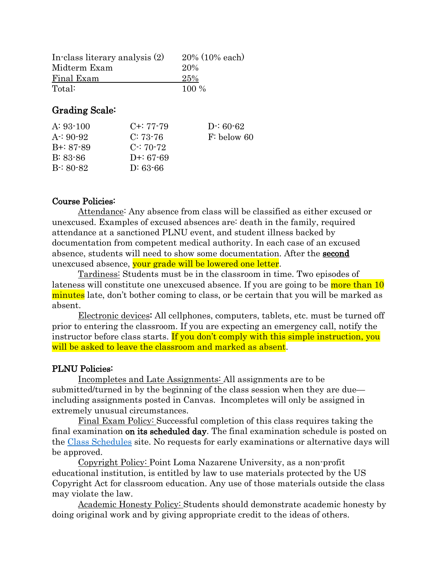| In-class literary analysis (2) | $20\%$ (10% each) |
|--------------------------------|-------------------|
| Midterm Exam                   | 20%               |
| Final Exam                     | 25%               |
| Total:                         | $100\%$           |

### Grading Scale:

| $A: 93-100$   | $C + 77 - 79$ | $D: 60-62$    |
|---------------|---------------|---------------|
| $A: 90-92$    | $C: 73-76$    | $F:$ below 60 |
| $B + 87 - 89$ | $C: 70-72$    |               |
| $B: 83-86$    | D+: $67-69$   |               |
| $B: 80-82$    | $D: 63-66$    |               |
|               |               |               |

#### Course Policies:

Attendance: Any absence from class will be classified as either excused or unexcused. Examples of excused absences are: death in the family, required attendance at a sanctioned PLNU event, and student illness backed by documentation from competent medical authority. In each case of an excused absence, students will need to show some documentation. After the **second** unexcused absence, your grade will be lowered one letter.

Tardiness: Students must be in the classroom in time. Two episodes of lateness will constitute one unexcused absence. If you are going to be more than 10 minutes late, don't bother coming to class, or be certain that you will be marked as absent.

Electronic devices: All cellphones, computers, tablets, etc. must be turned off prior to entering the classroom. If you are expecting an emergency call, notify the instructor before class starts. If you don't comply with this simple instruction, you will be asked to leave the classroom and marked as absent.

#### PLNU Policies:

Incompletes and Late Assignments: All assignments are to be submitted/turned in by the beginning of the class session when they are due including assignments posted in Canvas. Incompletes will only be assigned in extremely unusual circumstances.

Final Exam Policy: Successful completion of this class requires taking the final examination on its scheduled day. The final examination schedule is posted on the [Class Schedules](http://www.pointloma.edu/experience/academics/class-schedules) site. No requests for early examinations or alternative days will be approved.

Copyright Policy: Point Loma Nazarene University, as a non-profit educational institution, is entitled by law to use materials protected by the US Copyright Act for classroom education. Any use of those materials outside the class may violate the law.

Academic Honesty Policy: Students should demonstrate academic honesty by doing original work and by giving appropriate credit to the ideas of others.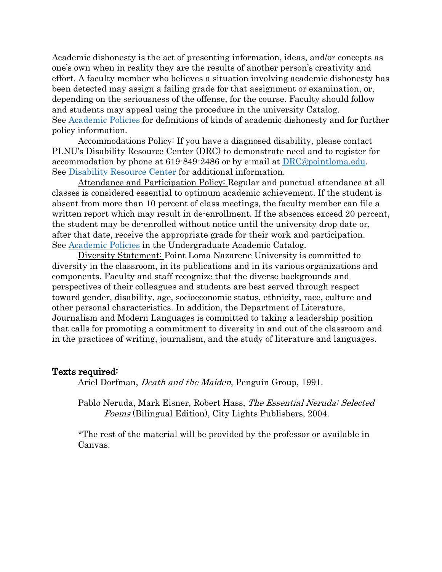Academic dishonesty is the act of presenting information, ideas, and/or concepts as one's own when in reality they are the results of another person's creativity and effort. A faculty member who believes a situation involving academic dishonesty has been detected may assign a failing grade for that assignment or examination, or, depending on the seriousness of the offense, for the course. Faculty should follow and students may appeal using the procedure in the university Catalog. See [Academic Policies](http://catalog.pointloma.edu/content.php?catoid=18&navoid=1278) for definitions of kinds of academic dishonesty and for further policy information.

Accommodations Policy: If you have a diagnosed disability, please contact PLNU's Disability Resource Center (DRC) to demonstrate need and to register for accommodation by phone at 619-849-2486 or by e-mail at [DRC@pointloma.edu.](mailto:DRC@pointloma.edu) See [Disability Resource Center](http://www.pointloma.edu/experience/offices/administrative-offices/academic-advising-office/disability-resource-center) for additional information.

Attendance and Participation Policy: Regular and punctual attendance at all classes is considered essential to optimum academic achievement. If the student is absent from more than 10 percent of class meetings, the faculty member can file a written report which may result in de-enrollment. If the absences exceed 20 percent, the student may be de-enrolled without notice until the university drop date or, after that date, receive the appropriate grade for their work and participation. See [Academic Policies](http://catalog.pointloma.edu/content.php?catoid=18&navoid=1278) in the Undergraduate Academic Catalog.

Diversity Statement: Point Loma Nazarene University is committed to diversity in the classroom, in its publications and in its various organizations and components. Faculty and staff recognize that the diverse backgrounds and perspectives of their colleagues and students are best served through respect toward gender, disability, age, socioeconomic status, ethnicity, race, culture and other personal characteristics. In addition, the Department of Literature, Journalism and Modern Languages is committed to taking a leadership position that calls for promoting a commitment to diversity in and out of the classroom and in the practices of writing, journalism, and the study of literature and languages.

#### Texts required:

Ariel Dorfman, *Death and the Maiden*, Penguin Group, 1991.

Pablo Neruda, Mark Eisner, Robert Hass, The Essential Neruda: Selected Poems (Bilingual Edition), City Lights Publishers, 2004.

\*The rest of the material will be provided by the professor or available in Canvas.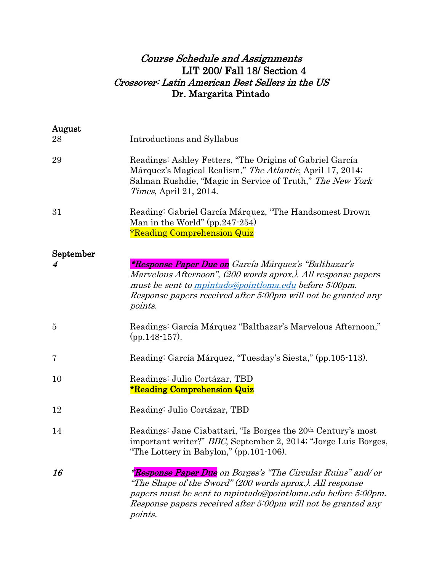# Course Schedule and Assignments LIT 200/ Fall 18/ Section 4 Crossover: Latin American Best Sellers in the US Dr. Margarita Pintado

| August    |                                                                                                                                                                                                                                                                              |
|-----------|------------------------------------------------------------------------------------------------------------------------------------------------------------------------------------------------------------------------------------------------------------------------------|
| 28        | Introductions and Syllabus                                                                                                                                                                                                                                                   |
| 29        | Readings: Ashley Fetters, "The Origins of Gabriel García"<br>Márquez's Magical Realism," The Atlantic, April 17, 2014;<br>Salman Rushdie, "Magic in Service of Truth," The New York<br><i>Times</i> , April 21, 2014.                                                        |
| 31        | Reading: Gabriel García Márquez, "The Handsomest Drown<br>Man in the World" $(pp.247-254)$<br><b>*Reading Comprehension Quiz</b>                                                                                                                                             |
| September |                                                                                                                                                                                                                                                                              |
| 4         | <i>*Response Paper Due on García Márquez's "Balthazar's</i><br>Marvelous Afternoon", (200 words aprox.). All response papers<br>must be sent to <i>mpintado@pointloma.edu</i> before 5:00pm.<br>Response papers received after 5:00pm will not be granted any<br>points.     |
| 5         | Readings: García Márquez "Balthazar's Marvelous Afternoon,"<br>$(pp.148-157).$                                                                                                                                                                                               |
| 7         | Reading: García Márquez, "Tuesday's Siesta," (pp.105-113).                                                                                                                                                                                                                   |
| 10        | Readings: Julio Cortázar, TBD<br><b>*Reading Comprehension Quiz</b>                                                                                                                                                                                                          |
| 12        | Reading: Julio Cortázar, TBD                                                                                                                                                                                                                                                 |
| 14        | Readings: Jane Ciabattari, "Is Borges the 20 <sup>th</sup> Century's most<br>important writer?" BBC, September 2, 2014; "Jorge Luis Borges,<br>"The Lottery in Babylon," $(pp.101-106)$ .                                                                                    |
| 16        | <i>*Response Paper Due on Borges's "The Circular Ruins" and/ or</i><br>"The Shape of the Sword" (200 words aprox.). All response<br>papers must be sent to mpintado@pointloma.edu before 5:00pm.<br>Response papers received after 5:00pm will not be granted any<br>points. |